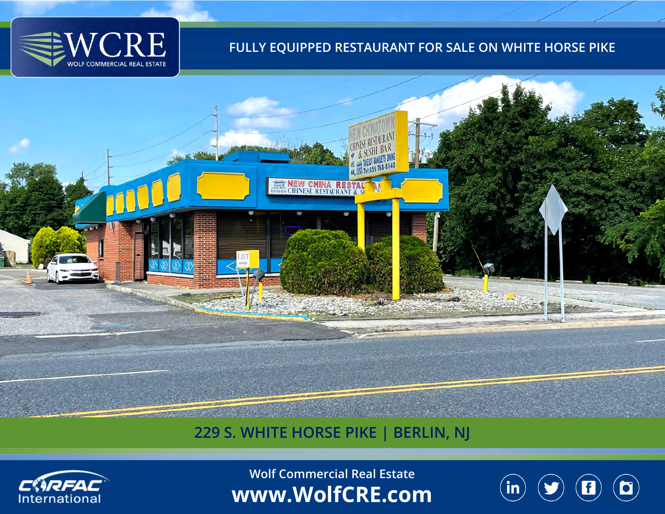

## **FULLY EQUIPPED RESTAURANT FOR SALE ON WHITE HORSE PIKE**



# **229 S. WHITE HORSE PIKE | BERLIN, NJ**



**Wolf Commercial Real Estate www.WolfCRE.com**

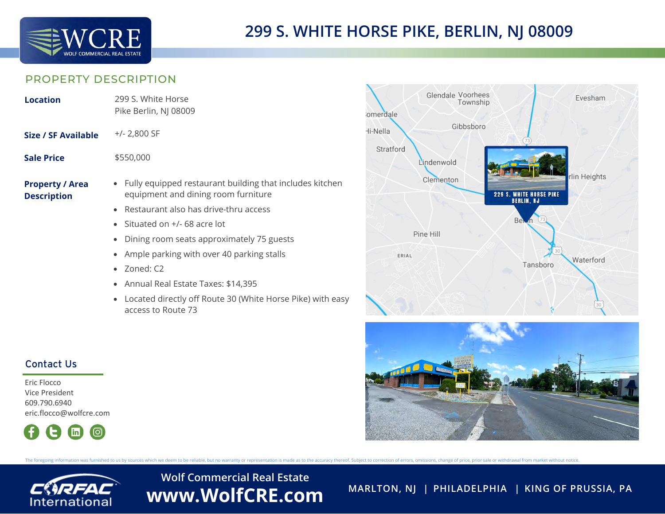

### PROPERTY DESCRIPTION

| <b>Location</b>                              | 299 S. White Horse<br>Pike Berlin, NJ 08009                                                                  |
|----------------------------------------------|--------------------------------------------------------------------------------------------------------------|
| Size / SF Available                          | $+/- 2,800$ SF                                                                                               |
| <b>Sale Price</b>                            | \$550,000                                                                                                    |
| <b>Property / Area</b><br><b>Description</b> | Fully equipped restaurant building that includes kitchen<br>$\bullet$<br>equipment and dining room furniture |
|                                              | • Restaurant also has drive-thru access                                                                      |
|                                              | • Situated on $+/-$ 68 acre lot                                                                              |
|                                              | Dining room seats approximately 75 guests<br>$\bullet$                                                       |
|                                              | • Ample parking with over 40 parking stalls                                                                  |
|                                              | Zoned: C2                                                                                                    |

- Annual Real Estate Taxes: \$14,395
- Located directly off Route 30 (White Horse Pike) with easy access to Route 73





#### Contact Us

Eric Flocco Vice President 609.790.6940 eric.flocco@wolfcre.com



The foregoing information was furnished to us by sources which we deem to be reliable, but no warranty or representation is made as to the accuracy thereof. Subject to correction of errors, omissions, change of price, prio



**Wolf Commercial Real Estate www.WolfCRE.com MARLTON, NJ <sup>|</sup> PHILADELPHIA <sup>|</sup> KING OF PRUSSIA, PA**